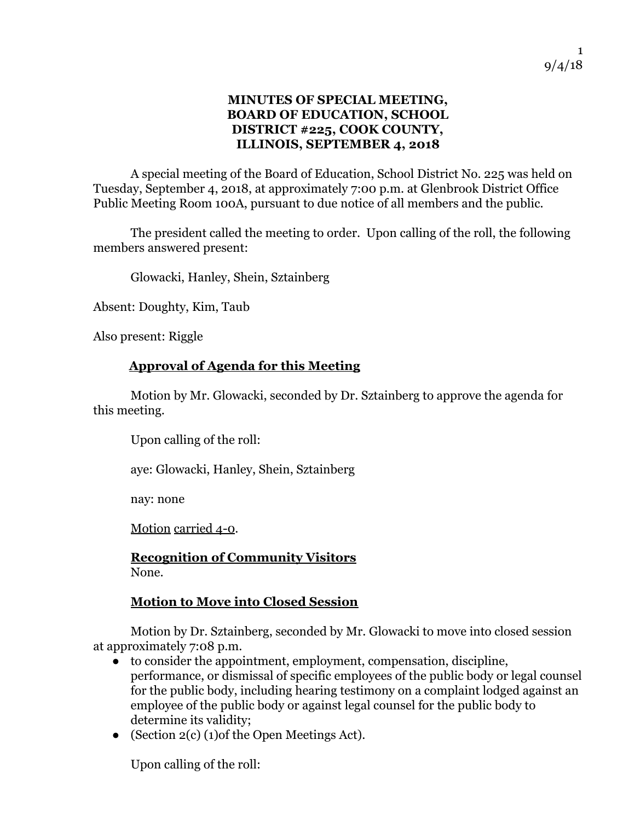## **MINUTES OF SPECIAL MEETING, BOARD OF EDUCATION, SCHOOL DISTRICT #225, COOK COUNTY, ILLINOIS, SEPTEMBER 4, 2018**

A special meeting of the Board of Education, School District No. 225 was held on Tuesday, September 4, 2018, at approximately 7:00 p.m. at Glenbrook District Office Public Meeting Room 100A, pursuant to due notice of all members and the public.

The president called the meeting to order. Upon calling of the roll, the following members answered present:

Glowacki, Hanley, Shein, Sztainberg

Absent: Doughty, Kim, Taub

Also present: Riggle

## **Approval of Agenda for this Meeting**

 Motion by Mr. Glowacki, seconded by Dr. Sztainberg to approve the agenda for this meeting.

Upon calling of the roll:

aye: Glowacki, Hanley, Shein, Sztainberg

nay: none

Motion carried 4-0.

**Recognition of Community Visitors**  None.

## **Motion to Move into Closed Session**

 Motion by Dr. Sztainberg, seconded by Mr. Glowacki to move into closed session at approximately 7:08 p.m.

- to consider the appointment, employment, compensation, discipline, performance, or dismissal of specific employees of the public body or legal counsel for the public body, including hearing testimony on a complaint lodged against an employee of the public body or against legal counsel for the public body to determine its validity;
- (Section 2(c) (1)of the Open Meetings Act).

Upon calling of the roll: